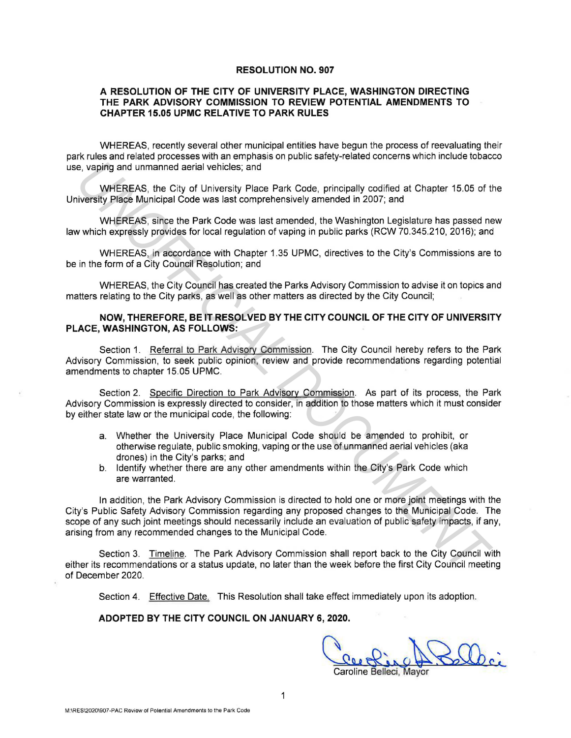## **RESOLUTION NO. 907**

## **A RESOLUTION OF THE CITY OF UNIVERSITY PLACE, WASHINGTON DIRECTING THE PARK ADVISORY COMMISSION TO REVIEW POTENTIAL AMENDMENTS TO CHAPTER 15.05 UPMC RELATIVE TO PARK RULES**

WHEREAS, recently several other municipal entities have begun the process of reevaluating their park rules and related processes with an emphasis on public safety-related concerns which include tobacco use, vaping and unmanned aerial vehicles; and

WHEREAS, the City of University Place Park Code, principally codified at Chapter 15.05 of the University Place Municipal Code was last comprehensively amended in 2007; and

WHEREAS, since the Park Code was last amended, the Washington Legislature has passed new law which expressly provides for local regulation of vaping in public parks (RCW 70.345.210, 2016); and

WHEREAS, in accordance with Chapter 1.35 UPMC, directives to the City's Commissions are to be in the form of a City Council Resolution; and

WHEREAS, the City Council has created the Parks Advisory Commission to advise it on topics and matters relating to the City parks, as well as other matters as directed by the City Council;

## **NOW, THEREFORE, BE IT RESOLVED BY THE CITY COUNCIL OF THE CITY OF UNIVERSITY PLACE, WASHINGTON, AS FOLLOWS:**

Section 1. Referral to Park Advisory Commission. The City Council hereby refers to the Park Advisory Commission, to seek public opinion, review and provide recommendations regarding potential amendments to chapter 15.05 UPMC.

Section 2. Specific Direction to Park Advisory Commission. As part of its process, the Park Advisory Commission is expressly directed to consider, in addition to those matters which it must consider by either state law or the municipal code, the following:

- a. Whether the University Place Municipal Code should be amended to prohibit, or otherwise regulate, public smoking, vaping or the use of unmanned aerial vehicles (aka drones) in the City's parks; and
- b. Identify whether there are any other amendments within the City's Park Code which are warranted.

In addition, the Park Advisory Commission is directed to hold one or more joint meetings with the City's Public Safety Advisory Commission regarding any proposed changes to the Municipal Code. The scope of any such joint meetings should necessarily include an evaluation of public safety impacts, if any, arising from any recommended changes to the Municipal Code. e, vaping and unmanned aerial vehicles; and<br>
WHEREAS, the City of University Place Municipal Ode was last comprehensively amended in 2007; and<br>
WHEREAS, the City of University Place Park Code yas last amended, the Washingt

Section 3. Timeline. The Park Advisory Commission shall report back to the City Council with either its recommendations or a status update, no later than the week before the first City Council meeting of December 2020.

Section 4. Effective Date. This Resolution shall take effect immediately upon its adoption.

## **ADOPTED BY THE CITY COUNCIL ON JANUARY 6, 2020.**

Ceeping A Saldie Caroline Belleci, Mayor